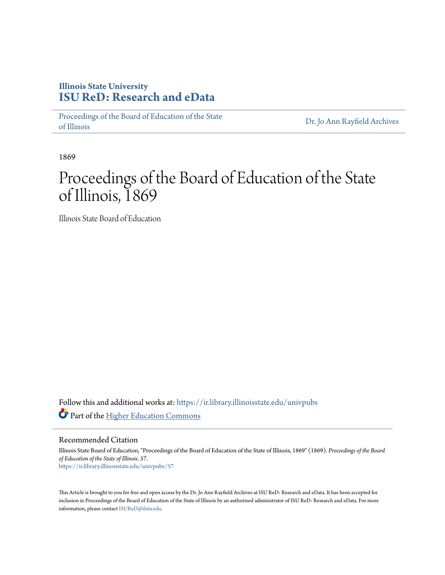## **Illinois State University [ISU ReD: Research and eData](https://ir.library.illinoisstate.edu?utm_source=ir.library.illinoisstate.edu%2Funivpubs%2F57&utm_medium=PDF&utm_campaign=PDFCoverPages)**

[Proceedings of the Board of Education of the State](https://ir.library.illinoisstate.edu/univpubs?utm_source=ir.library.illinoisstate.edu%2Funivpubs%2F57&utm_medium=PDF&utm_campaign=PDFCoverPages) [of Illinois](https://ir.library.illinoisstate.edu/univpubs?utm_source=ir.library.illinoisstate.edu%2Funivpubs%2F57&utm_medium=PDF&utm_campaign=PDFCoverPages)

[Dr. Jo Ann Rayfield Archives](https://ir.library.illinoisstate.edu/arch?utm_source=ir.library.illinoisstate.edu%2Funivpubs%2F57&utm_medium=PDF&utm_campaign=PDFCoverPages)

1869

# Proceedings of the Board of Education of the State of Illinois, 1869

Illinois State Board of Education

Follow this and additional works at: [https://ir.library.illinoisstate.edu/univpubs](https://ir.library.illinoisstate.edu/univpubs?utm_source=ir.library.illinoisstate.edu%2Funivpubs%2F57&utm_medium=PDF&utm_campaign=PDFCoverPages) Part of the [Higher Education Commons](http://network.bepress.com/hgg/discipline/1245?utm_source=ir.library.illinoisstate.edu%2Funivpubs%2F57&utm_medium=PDF&utm_campaign=PDFCoverPages)

Recommended Citation

Illinois State Board of Education, "Proceedings of the Board of Education of the State of Illinois, 1869" (1869). *Proceedings of the Board of Education of the State of Illinois*. 57. [https://ir.library.illinoisstate.edu/univpubs/57](https://ir.library.illinoisstate.edu/univpubs/57?utm_source=ir.library.illinoisstate.edu%2Funivpubs%2F57&utm_medium=PDF&utm_campaign=PDFCoverPages)

This Article is brought to you for free and open access by the Dr. Jo Ann Rayfield Archives at ISU ReD: Research and eData. It has been accepted for inclusion in Proceedings of the Board of Education of the State of Illinois by an authorized administrator of ISU ReD: Research and eData. For more information, please contact [ISUReD@ilstu.edu.](mailto:ISUReD@ilstu.edu)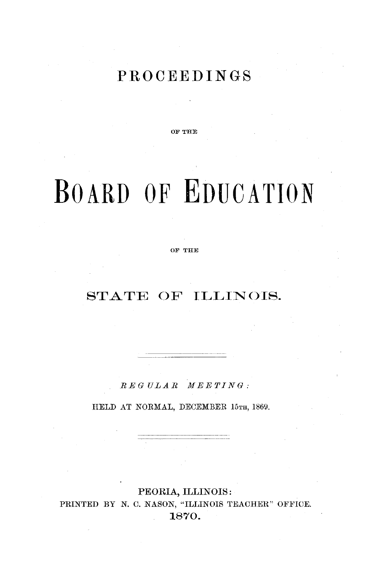## **PROCEEDINGS**

**OF THE**

# BOARD OF **EDUCATION**

OF **THEI**

## STATE OF ILLINOIS.

*REGULAR MEETING:*

HELD AT NORMAL, DECEMBER 15TH, 1869.

PEORIA, ILLINOIS: PRINTED BY N. C. NASON, "ILLINOIS TEACHER" OFFICE. 1870.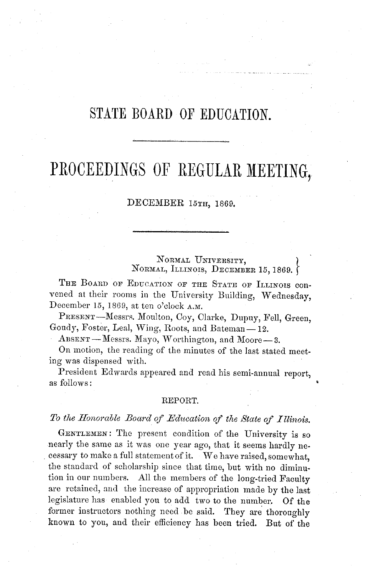## STATE BOARD OF EDUCATION.

## PROCEEDINGS OF REGULAR MEETING,

#### DECEMBER 15TH, 1869.

NORMAL UNIVERSITY, NORMAL, ILLINOIS, DECEMBER 15, 1869.

THE BOARD OF EDUCATION OF THE STATE OF ILLINOIS CONvened at their rooms in the University Building, Wednesday, December 15, 1869, at ten o'clock A.M.

PRESENT-Messrs. Moulton, Coy, Clarke, Dupuy, Fell, Green, Goudy, Foster, Leal, Wing, Roots, and Bateman- 12.

ABSENT-Messrs. Mayo, Worthington, and Moore-3.

On motion, the reading of the minutes of the last stated meeting was dispensed with.

President Edwards appeared and read his semi-annual report, as follows:

#### REPORT.

#### To the Honorable Board of Education of the State of Illinois.

GENTLEMEN: The present condition of the University is so nearly the same as it was one year ago, that it seems hardly necessary to make a full statement of it. We have raised, somewhat, the standard of scholarship since that time, but with no diminution in our numbers. All the members of the long-tried Faculty are retained, and the increase of appropriation made by the last legislature has enabled you to add two to the number. Of the former instructors nothing need be said. They are thoroughly known to you, and their efficiency has been tried. But of the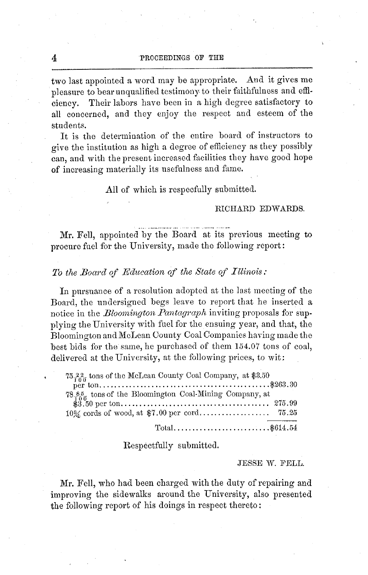two last appointed a word may be appropriate. And it gives me pleasure to bear unqualified testimony to their faithfulness and efficiency. Their labors have been in a high degree satisfactory to all concerned, and they enjoy the respect and esteem of the students.

It is the determination of the entire board of instructors to give the institution as high a degree of efficiency as they possibly can, and with the present increased facilities they have good hope of increasing materially its usefulness and fame.

All of which is respecfully submitted.

#### RICHARD EDWARDS.

Mr. Fell, appointed by the Board at its previous meeting to procure fuel for the University, made the following report:

#### *To the Board of Education of the State of Illinois:*

In pursuance of a resolution adopted at the last meeting of the Board, the undersigned begs leave to report that he inserted a notice in the *Bloomington Pantagraph* inviting proposals for supplying the University with fuel for the ensuing year, and that, the Bloomington andMcLean County Coal Companies having made the best bids for the same, he purchased of them 154.07 tons of coal, delivered at the University, at the following prices, to wit:

| 75.22 tons of the McLean County Coal Company, at \$3.50   |
|-----------------------------------------------------------|
|                                                           |
| 78.85 tons of the Bloomington Coal-Mining Company, at     |
|                                                           |
|                                                           |
| $Total \dots \dots \dots \dots \dots \dots \dots \dots \$ |

Respectfully submitted.

#### JESSE W. FELL.

Mr. Fell, who had been charged with the duty of repairing and improving the sidewalks around the University, also presented the following report of his doings in respect thereto: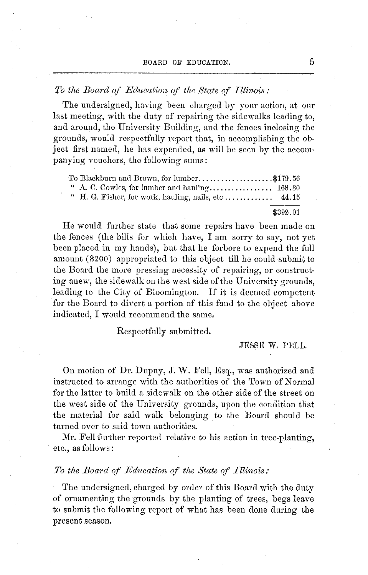BOARD OF EDUCATION AND THE ENERGY PROPERTY OF EDUCATION AND THE ENERGY AND THE ENERGY PROPERTY OF EXPLORING TH

#### *To the Board of Edcucation of the State of Illinois:*

The undersigned, having been charged by your action, at our last meeting, with the duty of repairing the sidewalks leading to, and around, the University Building, and the fences inclosing the grounds, would respectfully report that, in accomplishing the object first named, he has expended, as will be seen by the accompanying vouchers, the following sums:

| To Blackburn and Brown, for lumber\$179.56 |          |  |
|--------------------------------------------|----------|--|
|                                            |          |  |
|                                            |          |  |
|                                            | \$392.01 |  |

He would further state that some repairs have been made on the fences (the bills for which have, I am sorry to say, not yet been placed in my hands), but that he forbore to expend the full amount (\$200) appropriated to this object till he could submit to the Board the more pressing necessity of repairing, or constructing anew, the sidewalk on the west side of the University grounds, leading to the City of Bloomington. If it is deemed competent for the Board to divert a portion of this fund to the object above indicated, I would recommend the same,

Respectfully submitted.

JESSE W. FELL.

On motion of Dr. Dupuy, J. W. Fell, Esq., was authorized and instructed to arrange with the authorities of the Town of Normal for the latter to build a sidewalk on the other side of the street on the west side of the University grounds, upon the condition that the material for said walk belonging to the Board should be turned over to said town authorities.

Mr. Fell further reported relative to his action in tree-planting, etc., as follows:

#### *To the Board of Education of the State of Illinois:*

The undersigned, charged by order of this Board with the duty of ornamenting the grounds by the planting of trees, begs leave to submit the following report of what has been done during the present season.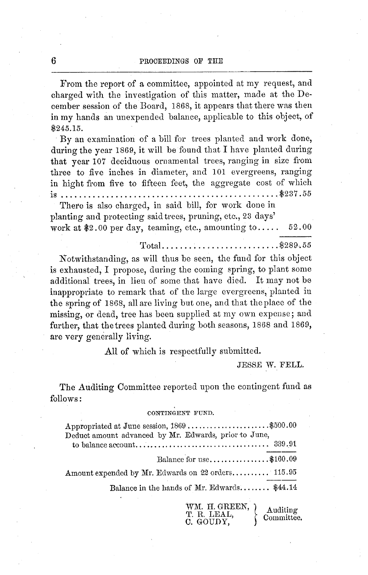From the report of a committee, appointed at my request, and charged with the investigation of this matter, made at the December session of the Board, 1868, it appears that there was then in my hands an unexpended balance, applicable to this object, of \$245.15.

By an examination of a bill for trees planted and work done, during the year 1869, it will be found that I have planted during that year 107 deciduous ornamental trees, ranging in size from three to five inches in diameter, and 101 evergreens, ranging in hight from five to fifteen feet, the aggregate cost of which is ................................................ \$237.55

There is also charged, in said bill, for work done in planting and protecting said trees, pruning, etc., 23 days' work at \$2.00 per day, teaming, etc., amounting to.....  $52.00$ 

Total........... ............... \$289. 55

Notwithstanding, as will thus be seen, the fund for this object is exhausted, I propose, during the coming spring, to plant some additional trees, in lieu of some that have died. It may not be inappropriate to remark that of the large evergreens, planted in the spring of 1868, all are living but one, and that the place of the missing, or dead, tree has been supplied at my own expense; and further, that the trees planted during both seasons, 1868 and 1869, are very generally living.

All of which is respectfully submitted.

JESSE W. FELL.

The Auditing Committee reported upon the contingent fund as follows:

#### CONTINGENT **FUND.**

| Appropriated at June session, 1869 \$500.00           |  |
|-------------------------------------------------------|--|
| Deduct amount advanced by Mr. Edwards, prior to June, |  |
| Balance for use\$160.09                               |  |
| Amount expended by Mr. Edwards on 22 orders 115.95    |  |
| Balance in the hands of Mr. Edwards \$44.14           |  |

WM. H. GREEN,  $\overline{\phantom{a}}$  Auditing T. R. LEAL, Committee.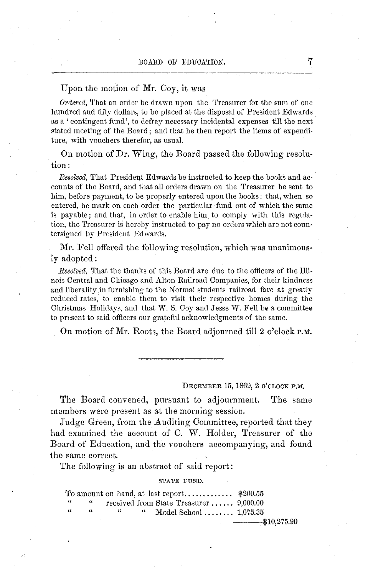#### Upon the motion of Mr. Coy, it was

*Ordered,* That an order be drawn upon the Treasurer for the sum of one hundred and fifty dollars, to be placed at the disposal of President Edwards as a ' contingent fund', to defray necessary incidental expenses till the next stated meeting of the Board; and that he then report the items of expenditure, with vouchers therefor, as usual.

On motion of Dr. Wing, the Board passed the following resolution:

*Resolved,* That President Edwards be instructed to keep the books and accounts of the Board, and that all orders drawn on the Treasurer be sent to him, before payment, to be properly entered upon the books: that, when so entered, he mark on each order the particular fund out of which the same is payable; and that, in order to enable him to comply with this regulation, the Treasurer is hereby instructed to pay no orders which are not countersigned by President Edwards.

Mr. Fell offered the following resolution, which was unanimously adopted:

*Resolved,* That the thanks of this Board are due to the officers of the Illinois Central and Chicago and Alton Railroad Companies, for their kindness and liberality in furnishing to the Normal students railroad fare at greatly reduced rates, to enable them to visit their respective homes during the Christmas Holidays, and that W. S. Coy and Jesse W. Fell be a committee to present to said officers our grateful acknowledgments of the same.

On motion of Mr. Roots, the Board adjourned till 2 o'clock p.M.

#### DECEMBER 15, 1869, 2 O'CLOCK **P.M.**

The Board convened, pursuant to adjournment. The same members were present as at the morning session.

Judge Green, fiom the Auditing Committee, reported that they had examined the account of C. W. Holder, Treasurer of the Board of Education, and the vouchers accompanying, and found the same correct.

The following is an abstract of said report:

#### STATE FUND.

| $\sim$ | $\epsilon$     |          |        | received from State Treasurer $9,000.00$ |                 |
|--------|----------------|----------|--------|------------------------------------------|-----------------|
| - 66   | $\mathfrak{c}$ | $\alpha$ | $\sim$ | Model School $1,075.35$                  |                 |
|        |                |          |        |                                          | $-$ \$10,275.90 |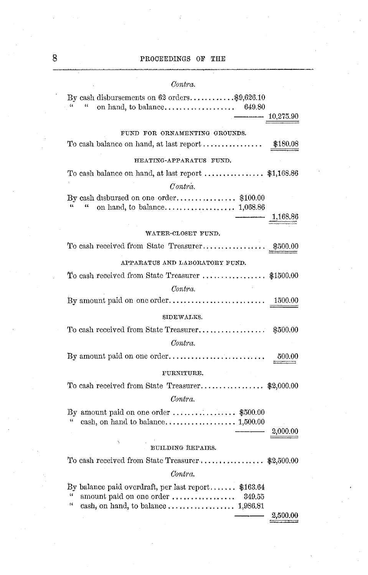#### 8 **PROCEEDINGS OF THE**

### *Contra.* By cash disbursements on  $62$  orders............\$9,626.10<br>"S49.80 " " on hand, to balance ................... 649.80 - 10,275.90 FUND **FOR** ORNAMENTING GROUNDS. To cash balance on hand, at last report ................ \$180.08 HEATING-APPARATUS FUND. To cash balance on hand, at last report ................ \$1,168.86 *Contra.* By cash disbursed on one order ................ \$100.00 *"* " on hand, to balance ....... ............ 1,068.86 1,168.86 WATER-CLOSET FUND. To cash received from State Treasurer .............. . \$500.00 APPARATUS AND LABORATORY FUND. To cash received from State Treasurer ............. \$1500.00 *Contra.* By amount paid on one order .......................... 1500.00 SIDEWALKS. To cash received from State Treasurer . ................ \$500.00 *Contra.* By amount paid on one order.......................... 500.00 FURNITURE. To cash received from State Treasurer........................ \$2,000.00 *Contra.* By amount paid on one order ...................... \$500.00 " cash, on hand to balance .................. 1,500.00 2,000.00 BUILDING REPAIRS. To cash received from State Treasurer **.................** \$2,500.00 *Contra.* By balance paid overdraft, per last report...... \$163.64 " amount paid on one order . i....... ....... 349.55 ' cash, on hand, to balance .................. 1,986.81 2,500.00